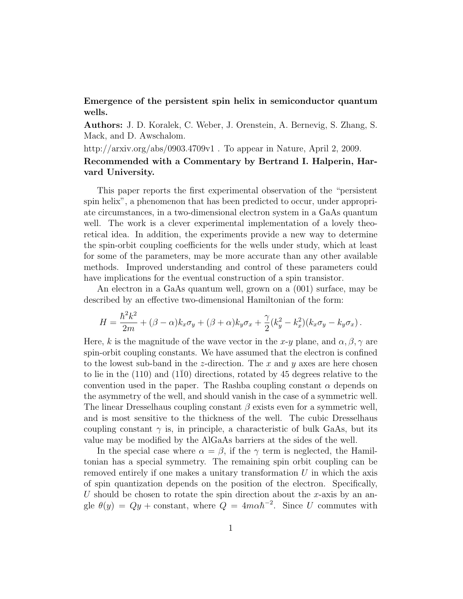## Emergence of the persistent spin helix in semiconductor quantum wells.

Authors: J. D. Koralek, C. Weber, J. Orenstein, A. Bernevig, S. Zhang, S. Mack, and D. Awschalom.

http://arxiv.org/abs/0903.4709v1. To appear in Nature, April 2, 2009.

## Recommended with a Commentary by Bertrand I. Halperin, Harvard University.

This paper reports the first experimental observation of the "persistent spin helix", a phenomenon that has been predicted to occur, under appropriate circumstances, in a two-dimensional electron system in a GaAs quantum well. The work is a clever experimental implementation of a lovely theoretical idea. In addition, the experiments provide a new way to determine the spin-orbit coupling coefficients for the wells under study, which at least for some of the parameters, may be more accurate than any other available methods. Improved understanding and control of these parameters could have implications for the eventual construction of a spin transistor.

An electron in a GaAs quantum well, grown on a (001) surface, may be described by an effective two-dimensional Hamiltonian of the form:

$$
H = \frac{\hbar^2 k^2}{2m} + (\beta - \alpha)k_x \sigma_y + (\beta + \alpha)k_y \sigma_x + \frac{\gamma}{2}(k_y^2 - k_x^2)(k_x \sigma_y - k_y \sigma_x).
$$

Here, k is the magnitude of the wave vector in the x-y plane, and  $\alpha$ ,  $\beta$ ,  $\gamma$  are spin-orbit coupling constants. We have assumed that the electron is confined to the lowest sub-band in the z-direction. The x and y axes are here chosen to lie in the  $(110)$  and  $(1\overline{10})$  directions, rotated by 45 degrees relative to the convention used in the paper. The Rashba coupling constant  $\alpha$  depends on the asymmetry of the well, and should vanish in the case of a symmetric well. The linear Dresselhaus coupling constant  $\beta$  exists even for a symmetric well, and is most sensitive to the thickness of the well. The cubic Dresselhaus coupling constant  $\gamma$  is, in principle, a characteristic of bulk GaAs, but its value may be modified by the AlGaAs barriers at the sides of the well.

In the special case where  $\alpha = \beta$ , if the  $\gamma$  term is neglected, the Hamiltonian has a special symmetry. The remaining spin orbit coupling can be removed entirely if one makes a unitary transformation  $U$  in which the axis of spin quantization depends on the position of the electron. Specifically, U should be chosen to rotate the spin direction about the x-axis by an angle  $\theta(y) = Qy + \text{constant}$ , where  $Q = 4m\alpha\hbar^{-2}$ . Since U commutes with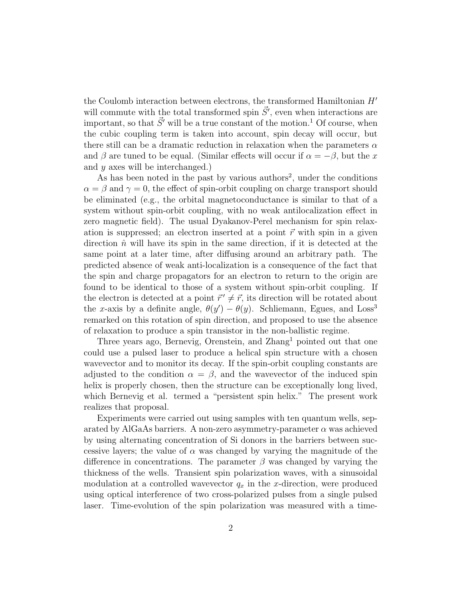the Coulomb interaction between electrons, the transformed Hamiltonian  $H'$ will commute with the total transformed spin  $\vec{S}'$ , even when interactions are important, so that  $\vec{S}'$  will be a true constant of the motion.<sup>1</sup> Of course, when the cubic coupling term is taken into account, spin decay will occur, but there still can be a dramatic reduction in relaxation when the parameters  $\alpha$ and  $\beta$  are tuned to be equal. (Similar effects will occur if  $\alpha = -\beta$ , but the x and  $y$  axes will be interchanged.)

As has been noted in the past by various authors<sup>2</sup>, under the conditions  $\alpha = \beta$  and  $\gamma = 0$ , the effect of spin-orbit coupling on charge transport should be eliminated (e.g., the orbital magnetoconductance is similar to that of a system without spin-orbit coupling, with no weak antilocalization effect in zero magnetic field). The usual Dyakanov-Perel mechanism for spin relaxation is suppressed; an electron inserted at a point  $\vec{r}$  with spin in a given direction  $\hat{n}$  will have its spin in the same direction, if it is detected at the same point at a later time, after diffusing around an arbitrary path. The predicted absence of weak anti-localization is a consequence of the fact that the spin and charge propagators for an electron to return to the origin are found to be identical to those of a system without spin-orbit coupling. If the electron is detected at a point  $\vec{r}' \neq \vec{r}$ , its direction will be rotated about the x-axis by a definite angle,  $\theta(y') - \theta(y)$ . Schliemann, Egues, and Loss<sup>3</sup> remarked on this rotation of spin direction, and proposed to use the absence of relaxation to produce a spin transistor in the non-ballistic regime.

Three years ago, Bernevig, Orenstein, and Zhang<sup>1</sup> pointed out that one could use a pulsed laser to produce a helical spin structure with a chosen wavevector and to monitor its decay. If the spin-orbit coupling constants are adjusted to the condition  $\alpha = \beta$ , and the wavevector of the induced spin helix is properly chosen, then the structure can be exceptionally long lived, which Bernevig et al. termed a "persistent spin helix." The present work realizes that proposal.

Experiments were carried out using samples with ten quantum wells, separated by AlGaAs barriers. A non-zero asymmetry-parameter  $\alpha$  was achieved by using alternating concentration of Si donors in the barriers between successive layers; the value of  $\alpha$  was changed by varying the magnitude of the difference in concentrations. The parameter  $\beta$  was changed by varying the thickness of the wells. Transient spin polarization waves, with a sinusoidal modulation at a controlled wavevector  $q_x$  in the x-direction, were produced using optical interference of two cross-polarized pulses from a single pulsed laser. Time-evolution of the spin polarization was measured with a time-